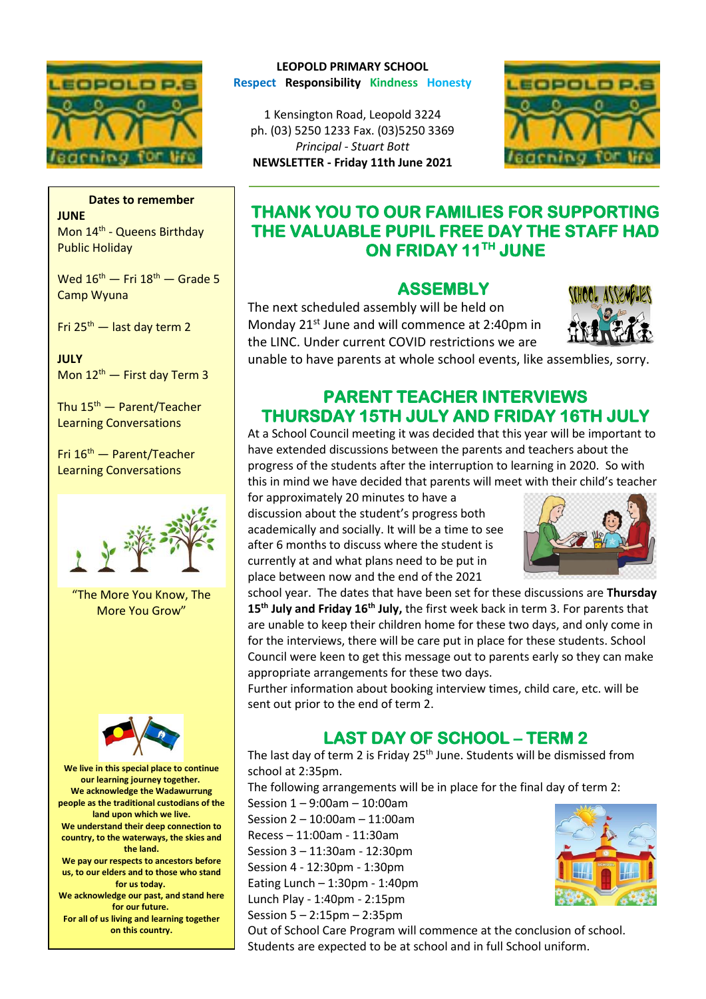

#### **Dates to remember JUNE**

Mon 14<sup>th</sup> - Queens Birthday Public Holiday

Wed  $16^{th}$  – Fri  $18^{th}$  – Grade 5 Camp Wyuna

Fri 25th — last day term 2

**JULY**  Mon  $12^{th}$  – First day Term 3

Thu  $15<sup>th</sup>$  — Parent/Teacher Learning Conversations

Fri 16th — Parent/Teacher Learning Conversations



"The More You Know, The More You Grow"



**We live in this special place to continue our learning journey together. We acknowledge the Wadawurrung people as the traditional custodians of the land upon which we live. We understand their deep connection to country, to the waterways, the skies and the land. We pay our respects to ancestors before us, to our elders and to those who stand for us today. We acknowledge our past, and stand here for our future. For all of us living and learning together on this country.**

#### **LEOPOLD PRIMARY SCHOOL Respect Responsibility Kindness Honesty**

1 Kensington Road, Leopold 3224 ph. (03) 5250 1233 Fax. (03)5250 3369 *Principal - Stuart Bott* 

**NEWSLETTER - Friday 11th June 2021**



## **THANK YOU TO OUR FAMILIES FOR SUPPORTING THE VALUABLE PUPIL FREE DAY THE STAFF HAD ON FRIDAY 11TH JUNE**

#### **ASSEMBLY**

The next scheduled assembly will be held on Monday 21<sup>st</sup> June and will commence at 2:40pm in the LINC. Under current COVID restrictions we are



unable to have parents at whole school events, like assemblies, sorry.

## **PARENT TEACHER INTERVIEWS THURSDAY 15TH JULY AND FRIDAY 16TH JULY**

At a School Council meeting it was decided that this year will be important to have extended discussions between the parents and teachers about the progress of the students after the interruption to learning in 2020. So with this in mind we have decided that parents will meet with their child's teacher

for approximately 20 minutes to have a discussion about the student's progress both academically and socially. It will be a time to see after 6 months to discuss where the student is currently at and what plans need to be put in place between now and the end of the 2021



school year. The dates that have been set for these discussions are **Thursday 15th July and Friday 16th July,** the first week back in term 3. For parents that are unable to keep their children home for these two days, and only come in for the interviews, there will be care put in place for these students. School Council were keen to get this message out to parents early so they can make appropriate arrangements for these two days.

Further information about booking interview times, child care, etc. will be sent out prior to the end of term 2.

# **LAST DAY OF SCHOOL – TERM 2**

The last day of term 2 is Friday 25<sup>th</sup> June. Students will be dismissed from school at 2:35pm.

The following arrangements will be in place for the final day of term 2:

Session 1 – 9:00am – 10:00am Session 2 – 10:00am – 11:00am Recess – 11:00am - 11:30am Session 3 – 11:30am - 12:30pm Session 4 - 12:30pm - 1:30pm Eating Lunch  $-1:30$ pm - 1:40pm Lunch Play - 1:40pm - 2:15pm

Session 5 – 2:15pm – 2:35pm



Out of School Care Program will commence at the conclusion of school. Students are expected to be at school and in full School uniform.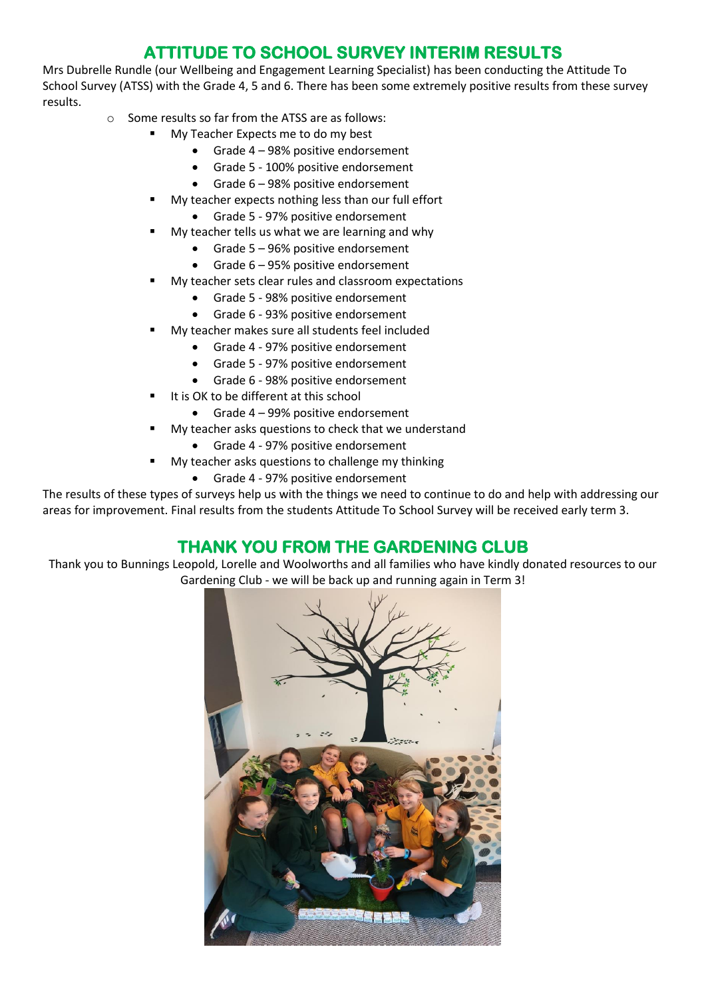# **ATTITUDE TO SCHOOL SURVEY INTERIM RESULTS**

Mrs Dubrelle Rundle (our Wellbeing and Engagement Learning Specialist) has been conducting the Attitude To School Survey (ATSS) with the Grade 4, 5 and 6. There has been some extremely positive results from these survey results.

- o Some results so far from the ATSS are as follows:
	- My Teacher Expects me to do my best
		- Grade 4 98% positive endorsement
		- Grade 5 100% positive endorsement
		- Grade 6 98% positive endorsement
	- My teacher expects nothing less than our full effort
		- Grade 5 97% positive endorsement
	- My teacher tells us what we are learning and why
		- Grade 5 96% positive endorsement
		- Grade 6 95% positive endorsement
	- My teacher sets clear rules and classroom expectations
		- Grade 5 98% positive endorsement
		- Grade 6 93% positive endorsement
		- My teacher makes sure all students feel included
			- Grade 4 97% positive endorsement
			- Grade 5 97% positive endorsement
			- Grade 6 98% positive endorsement
	- It is OK to be different at this school
		- Grade 4 99% positive endorsement
	- My teacher asks questions to check that we understand
		- Grade 4 97% positive endorsement
	- My teacher asks questions to challenge my thinking
		- Grade 4 97% positive endorsement

The results of these types of surveys help us with the things we need to continue to do and help with addressing our areas for improvement. Final results from the students Attitude To School Survey will be received early term 3.

## **THANK YOU FROM THE GARDENING CLUB**

Thank you to Bunnings Leopold, Lorelle and Woolworths and all families who have kindly donated resources to our Gardening Club - we will be back up and running again in Term 3!